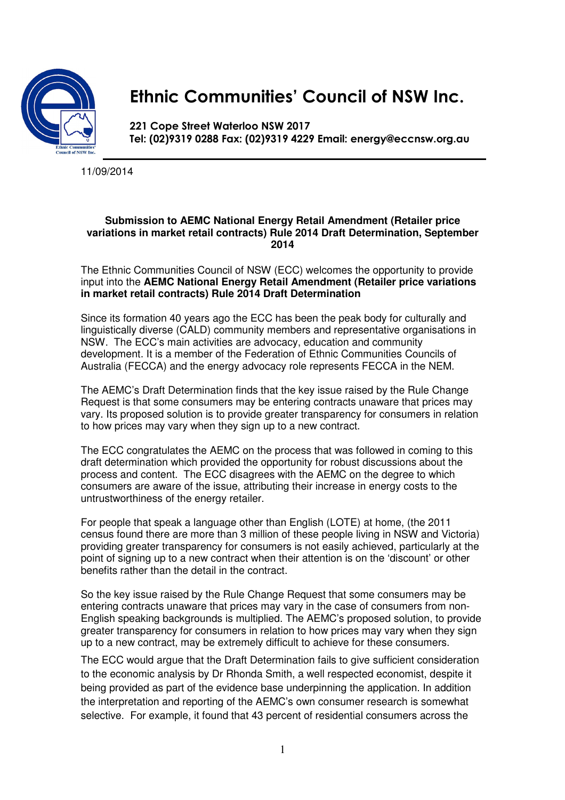

## Ethnic Communities' Council of NSW Inc.

221 Cope Street Waterloo NSW 2017 Tel: (02)9319 0288 Fax: (02)9319 4229 Email: energy@eccnsw.org.au

11/09/2014

## **Submission to AEMC National Energy Retail Amendment (Retailer price variations in market retail contracts) Rule 2014 Draft Determination, September 2014**

The Ethnic Communities Council of NSW (ECC) welcomes the opportunity to provide input into the **AEMC National Energy Retail Amendment (Retailer price variations in market retail contracts) Rule 2014 Draft Determination** 

Since its formation 40 years ago the ECC has been the peak body for culturally and linguistically diverse (CALD) community members and representative organisations in NSW. The ECC's main activities are advocacy, education and community development. It is a member of the Federation of Ethnic Communities Councils of Australia (FECCA) and the energy advocacy role represents FECCA in the NEM.

The AEMC's Draft Determination finds that the key issue raised by the Rule Change Request is that some consumers may be entering contracts unaware that prices may vary. Its proposed solution is to provide greater transparency for consumers in relation to how prices may vary when they sign up to a new contract.

The ECC congratulates the AEMC on the process that was followed in coming to this draft determination which provided the opportunity for robust discussions about the process and content. The ECC disagrees with the AEMC on the degree to which consumers are aware of the issue, attributing their increase in energy costs to the untrustworthiness of the energy retailer.

For people that speak a language other than English (LOTE) at home, (the 2011 census found there are more than 3 million of these people living in NSW and Victoria) providing greater transparency for consumers is not easily achieved, particularly at the point of signing up to a new contract when their attention is on the 'discount' or other benefits rather than the detail in the contract.

So the key issue raised by the Rule Change Request that some consumers may be entering contracts unaware that prices may vary in the case of consumers from non-English speaking backgrounds is multiplied. The AEMC's proposed solution, to provide greater transparency for consumers in relation to how prices may vary when they sign up to a new contract, may be extremely difficult to achieve for these consumers.

The ECC would argue that the Draft Determination fails to give sufficient consideration to the economic analysis by Dr Rhonda Smith, a well respected economist, despite it being provided as part of the evidence base underpinning the application. In addition the interpretation and reporting of the AEMC's own consumer research is somewhat selective. For example, it found that 43 percent of residential consumers across the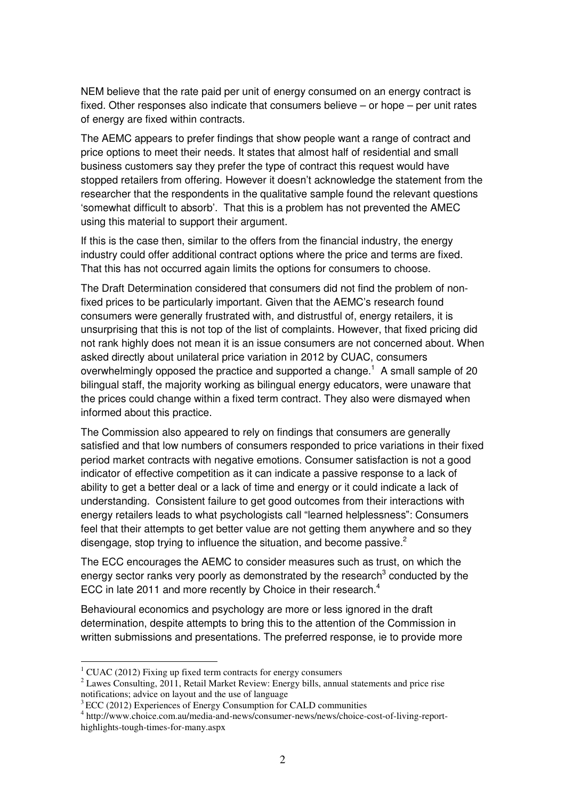NEM believe that the rate paid per unit of energy consumed on an energy contract is fixed. Other responses also indicate that consumers believe – or hope – per unit rates of energy are fixed within contracts.

The AEMC appears to prefer findings that show people want a range of contract and price options to meet their needs. It states that almost half of residential and small business customers say they prefer the type of contract this request would have stopped retailers from offering. However it doesn't acknowledge the statement from the researcher that the respondents in the qualitative sample found the relevant questions 'somewhat difficult to absorb'. That this is a problem has not prevented the AMEC using this material to support their argument.

If this is the case then, similar to the offers from the financial industry, the energy industry could offer additional contract options where the price and terms are fixed. That this has not occurred again limits the options for consumers to choose.

The Draft Determination considered that consumers did not find the problem of nonfixed prices to be particularly important. Given that the AEMC's research found consumers were generally frustrated with, and distrustful of, energy retailers, it is unsurprising that this is not top of the list of complaints. However, that fixed pricing did not rank highly does not mean it is an issue consumers are not concerned about. When asked directly about unilateral price variation in 2012 by CUAC, consumers overwhelmingly opposed the practice and supported a change.<sup>1</sup> A small sample of 20 bilingual staff, the majority working as bilingual energy educators, were unaware that the prices could change within a fixed term contract. They also were dismayed when informed about this practice.

The Commission also appeared to rely on findings that consumers are generally satisfied and that low numbers of consumers responded to price variations in their fixed period market contracts with negative emotions. Consumer satisfaction is not a good indicator of effective competition as it can indicate a passive response to a lack of ability to get a better deal or a lack of time and energy or it could indicate a lack of understanding. Consistent failure to get good outcomes from their interactions with energy retailers leads to what psychologists call "learned helplessness": Consumers feel that their attempts to get better value are not getting them anywhere and so they disengage, stop trying to influence the situation, and become passive. $2$ 

The ECC encourages the AEMC to consider measures such as trust, on which the energy sector ranks very poorly as demonstrated by the research<sup>3</sup> conducted by the ECC in late 2011 and more recently by Choice in their research.<sup>4</sup>

Behavioural economics and psychology are more or less ignored in the draft determination, despite attempts to bring this to the attention of the Commission in written submissions and presentations. The preferred response, ie to provide more

 $\overline{a}$ 

 $1$  CUAC (2012) Fixing up fixed term contracts for energy consumers

 $2$  Lawes Consulting, 2011, Retail Market Review: Energy bills, annual statements and price rise notifications; advice on layout and the use of language

 $3\text{ ECC}$  (2012) Experiences of Energy Consumption for CALD communities

<sup>4</sup> http://www.choice.com.au/media-and-news/consumer-news/news/choice-cost-of-living-reporthighlights-tough-times-for-many.aspx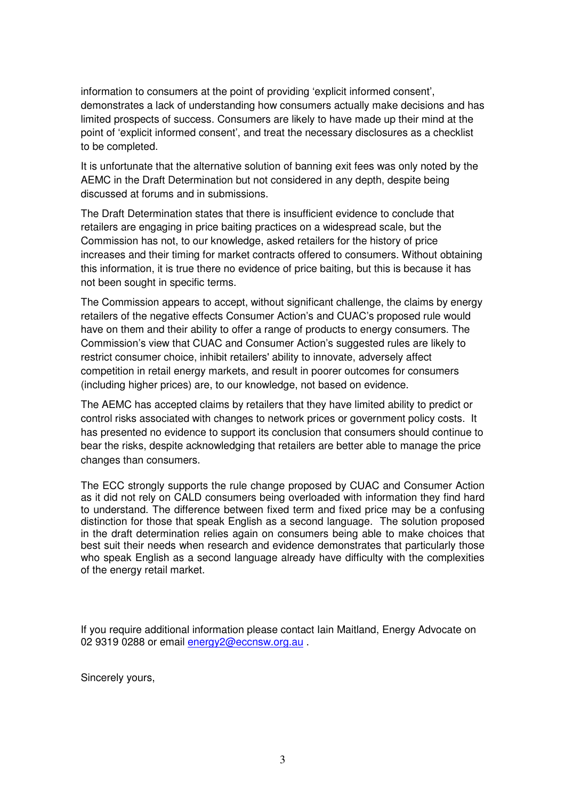information to consumers at the point of providing 'explicit informed consent', demonstrates a lack of understanding how consumers actually make decisions and has limited prospects of success. Consumers are likely to have made up their mind at the point of 'explicit informed consent', and treat the necessary disclosures as a checklist to be completed.

It is unfortunate that the alternative solution of banning exit fees was only noted by the AEMC in the Draft Determination but not considered in any depth, despite being discussed at forums and in submissions.

The Draft Determination states that there is insufficient evidence to conclude that retailers are engaging in price baiting practices on a widespread scale, but the Commission has not, to our knowledge, asked retailers for the history of price increases and their timing for market contracts offered to consumers. Without obtaining this information, it is true there no evidence of price baiting, but this is because it has not been sought in specific terms.

The Commission appears to accept, without significant challenge, the claims by energy retailers of the negative effects Consumer Action's and CUAC's proposed rule would have on them and their ability to offer a range of products to energy consumers. The Commission's view that CUAC and Consumer Action's suggested rules are likely to restrict consumer choice, inhibit retailers' ability to innovate, adversely affect competition in retail energy markets, and result in poorer outcomes for consumers (including higher prices) are, to our knowledge, not based on evidence.

The AEMC has accepted claims by retailers that they have limited ability to predict or control risks associated with changes to network prices or government policy costs. It has presented no evidence to support its conclusion that consumers should continue to bear the risks, despite acknowledging that retailers are better able to manage the price changes than consumers.

The ECC strongly supports the rule change proposed by CUAC and Consumer Action as it did not rely on CALD consumers being overloaded with information they find hard to understand. The difference between fixed term and fixed price may be a confusing distinction for those that speak English as a second language. The solution proposed in the draft determination relies again on consumers being able to make choices that best suit their needs when research and evidence demonstrates that particularly those who speak English as a second language already have difficulty with the complexities of the energy retail market.

If you require additional information please contact Iain Maitland, Energy Advocate on 02 9319 0288 or email energy 2@eccnsw.org.au

Sincerely yours,